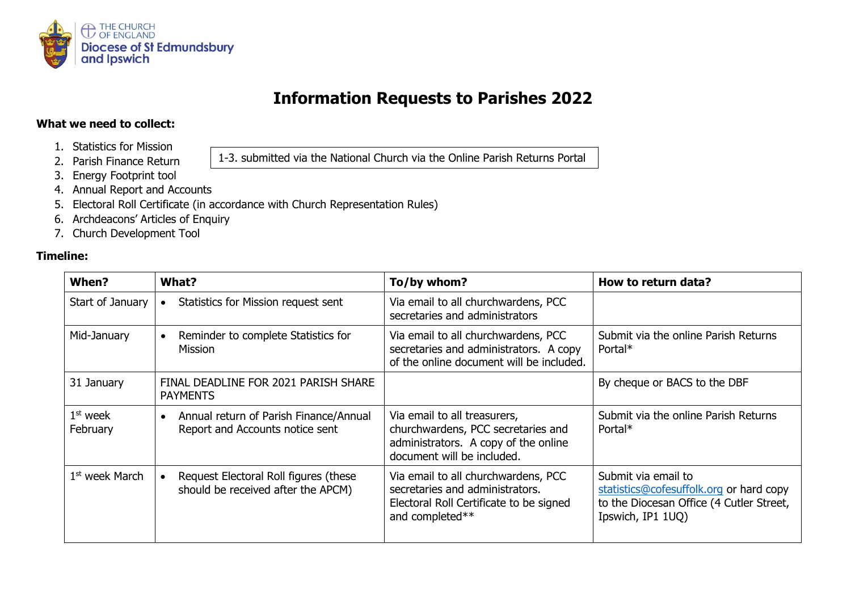

## **Information Requests to Parishes 2022**

1-3. submitted via the National Church via the Online Parish Returns Portal

## **What we need to collect:**

- 1. Statistics for Mission
- 2. Parish Finance Return
- 3. Energy Footprint tool
- 4. Annual Report and Accounts
- 5. Electoral Roll Certificate (in accordance with Church Representation Rules)
- 6. Archdeacons' Articles of Enquiry
- 7. Church Development Tool

## **Timeline:**

| When?                  | What?                                                                                  | To/by whom?                                                                                                                              | How to return data?                                                                                                             |
|------------------------|----------------------------------------------------------------------------------------|------------------------------------------------------------------------------------------------------------------------------------------|---------------------------------------------------------------------------------------------------------------------------------|
| Start of January       | Statistics for Mission request sent                                                    | Via email to all churchwardens, PCC<br>secretaries and administrators                                                                    |                                                                                                                                 |
| Mid-January            | Reminder to complete Statistics for<br>$\bullet$<br><b>Mission</b>                     | Via email to all churchwardens, PCC<br>secretaries and administrators. A copy<br>of the online document will be included.                | Submit via the online Parish Returns<br>Portal*                                                                                 |
| 31 January             | FINAL DEADLINE FOR 2021 PARISH SHARE<br><b>PAYMENTS</b>                                |                                                                                                                                          | By cheque or BACS to the DBF                                                                                                    |
| $1st$ week<br>February | Annual return of Parish Finance/Annual<br>$\bullet$<br>Report and Accounts notice sent | Via email to all treasurers,<br>churchwardens, PCC secretaries and<br>administrators. A copy of the online<br>document will be included. | Submit via the online Parish Returns<br>Portal*                                                                                 |
| $1st$ week March       | Request Electoral Roll figures (these<br>should be received after the APCM)            | Via email to all churchwardens, PCC<br>secretaries and administrators.<br>Electoral Roll Certificate to be signed<br>and completed**     | Submit via email to<br>statistics@cofesuffolk.org or hard copy<br>to the Diocesan Office (4 Cutler Street,<br>Ipswich, IP1 1UQ) |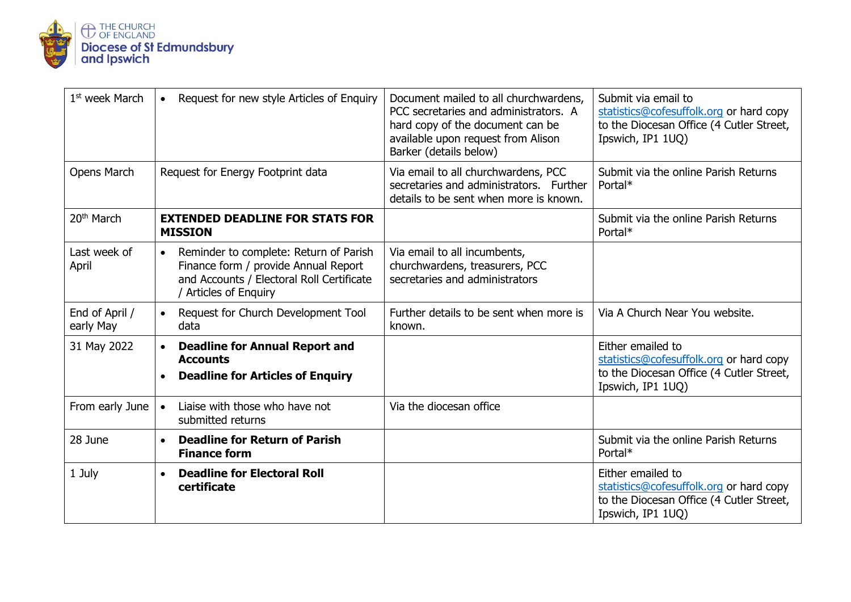

| 1 <sup>st</sup> week March  | Request for new style Articles of Enquiry<br>$\bullet$                                                                                                            | Document mailed to all churchwardens,<br>PCC secretaries and administrators. A<br>hard copy of the document can be<br>available upon request from Alison<br>Barker (details below) | Submit via email to<br>statistics@cofesuffolk.org or hard copy<br>to the Diocesan Office (4 Cutler Street,<br>Ipswich, IP1 1UQ) |
|-----------------------------|-------------------------------------------------------------------------------------------------------------------------------------------------------------------|------------------------------------------------------------------------------------------------------------------------------------------------------------------------------------|---------------------------------------------------------------------------------------------------------------------------------|
| Opens March                 | Request for Energy Footprint data                                                                                                                                 | Via email to all churchwardens, PCC<br>secretaries and administrators. Further<br>details to be sent when more is known.                                                           | Submit via the online Parish Returns<br>Portal*                                                                                 |
| 20 <sup>th</sup> March      | <b>EXTENDED DEADLINE FOR STATS FOR</b><br><b>MISSION</b>                                                                                                          |                                                                                                                                                                                    | Submit via the online Parish Returns<br>Portal*                                                                                 |
| Last week of<br>April       | Reminder to complete: Return of Parish<br>$\bullet$<br>Finance form / provide Annual Report<br>and Accounts / Electoral Roll Certificate<br>/ Articles of Enquiry | Via email to all incumbents,<br>churchwardens, treasurers, PCC<br>secretaries and administrators                                                                                   |                                                                                                                                 |
| End of April /<br>early May | Request for Church Development Tool<br>$\bullet$<br>data                                                                                                          | Further details to be sent when more is<br>known.                                                                                                                                  | Via A Church Near You website.                                                                                                  |
| 31 May 2022                 | <b>Deadline for Annual Report and</b><br><b>Accounts</b><br><b>Deadline for Articles of Enquiry</b>                                                               |                                                                                                                                                                                    | Either emailed to<br>statistics@cofesuffolk.org or hard copy<br>to the Diocesan Office (4 Cutler Street,<br>Ipswich, IP1 1UQ)   |
| From early June             | Liaise with those who have not<br>$\bullet$<br>submitted returns                                                                                                  | Via the diocesan office                                                                                                                                                            |                                                                                                                                 |
| 28 June                     | <b>Deadline for Return of Parish</b><br><b>Finance form</b>                                                                                                       |                                                                                                                                                                                    | Submit via the online Parish Returns<br>Portal*                                                                                 |
| 1 July                      | <b>Deadline for Electoral Roll</b><br>certificate                                                                                                                 |                                                                                                                                                                                    | Either emailed to<br>statistics@cofesuffolk.org or hard copy<br>to the Diocesan Office (4 Cutler Street,<br>Ipswich, IP1 1UQ)   |